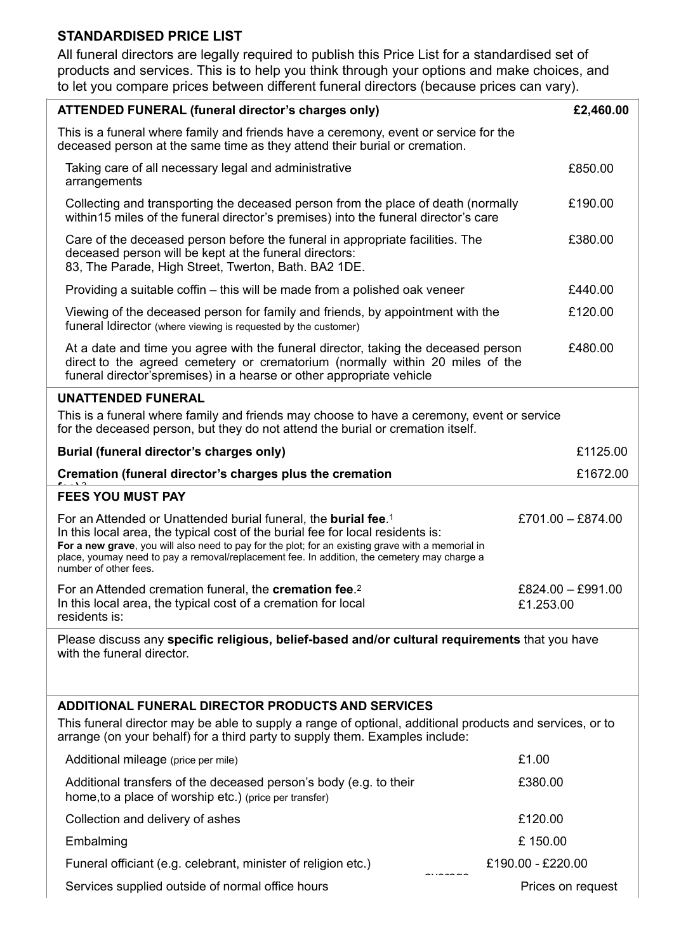## **STANDARDISED PRICE LIST**

All funeral directors are legally required to publish this Price List for a standardised set of products and services. This is to help you think through your options and make choices, and to let you compare prices between different funeral directors (because prices can vary).

| <b>ATTENDED FUNERAL (funeral director's charges only)</b>                                                                                                                                                                                                                                                                                                                                         | £2,460.00                      |
|---------------------------------------------------------------------------------------------------------------------------------------------------------------------------------------------------------------------------------------------------------------------------------------------------------------------------------------------------------------------------------------------------|--------------------------------|
| This is a funeral where family and friends have a ceremony, event or service for the<br>deceased person at the same time as they attend their burial or cremation.                                                                                                                                                                                                                                |                                |
| Taking care of all necessary legal and administrative<br>arrangements                                                                                                                                                                                                                                                                                                                             | £850.00                        |
| Collecting and transporting the deceased person from the place of death (normally<br>within 15 miles of the funeral director's premises) into the funeral director's care                                                                                                                                                                                                                         | £190.00                        |
| Care of the deceased person before the funeral in appropriate facilities. The<br>deceased person will be kept at the funeral directors:<br>83, The Parade, High Street, Twerton, Bath. BA2 1DE.                                                                                                                                                                                                   | £380.00                        |
| Providing a suitable coffin – this will be made from a polished oak veneer                                                                                                                                                                                                                                                                                                                        | £440.00                        |
| Viewing of the deceased person for family and friends, by appointment with the<br>funeral Idirector (where viewing is requested by the customer)                                                                                                                                                                                                                                                  | £120.00                        |
| At a date and time you agree with the funeral director, taking the deceased person<br>direct to the agreed cemetery or crematorium (normally within 20 miles of the<br>funeral director'spremises) in a hearse or other appropriate vehicle                                                                                                                                                       | £480.00                        |
| <b>UNATTENDED FUNERAL</b>                                                                                                                                                                                                                                                                                                                                                                         |                                |
| This is a funeral where family and friends may choose to have a ceremony, event or service<br>for the deceased person, but they do not attend the burial or cremation itself.                                                                                                                                                                                                                     |                                |
| Burial (funeral director's charges only)                                                                                                                                                                                                                                                                                                                                                          | £1125.00                       |
| Cremation (funeral director's charges plus the cremation                                                                                                                                                                                                                                                                                                                                          | £1672.00                       |
| <b>FEES YOU MUST PAY</b>                                                                                                                                                                                                                                                                                                                                                                          |                                |
| For an Attended or Unattended burial funeral, the <b>burial fee</b> . <sup>1</sup><br>In this local area, the typical cost of the burial fee for local residents is:<br>For a new grave, you will also need to pay for the plot; for an existing grave with a memorial in<br>place, youmay need to pay a removal/replacement fee. In addition, the cemetery may charge a<br>number of other fees. | £701.00 $-$ £874.00            |
| For an Attended cremation funeral, the cremation fee. <sup>2</sup><br>In this local area, the typical cost of a cremation for local<br>residents is:                                                                                                                                                                                                                                              | £824.00 - £991.00<br>£1.253.00 |
| Please discuss any specific religious, belief-based and/or cultural requirements that you have<br>with the funeral director.                                                                                                                                                                                                                                                                      |                                |
| <b>ADDITIONAL FUNERAL DIRECTOR PRODUCTS AND SERVICES</b>                                                                                                                                                                                                                                                                                                                                          |                                |
| This funeral director may be able to supply a range of optional, additional products and services, or to<br>arrange (on your behalf) for a third party to supply them. Examples include:                                                                                                                                                                                                          |                                |
| Additional mileage (price per mile)                                                                                                                                                                                                                                                                                                                                                               | £1.00                          |
| Additional transfers of the deceased person's body (e.g. to their<br>home, to a place of worship etc.) (price per transfer)                                                                                                                                                                                                                                                                       | £380.00                        |
| Collection and delivery of ashes                                                                                                                                                                                                                                                                                                                                                                  | £120.00                        |
| Embalming                                                                                                                                                                                                                                                                                                                                                                                         | £150.00                        |
| Funeral officiant (e.g. celebrant, minister of religion etc.)                                                                                                                                                                                                                                                                                                                                     | £190.00 - £220.00              |
| Services supplied outside of normal office hours                                                                                                                                                                                                                                                                                                                                                  | Prices on request              |